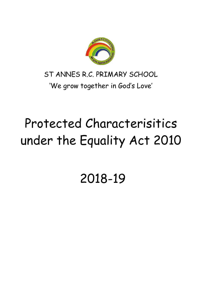

## ST ANNES R.C. PRIMARY SCHOOL 'We grow together in God's Love'

# Protected Characterisitics under the Equality Act 2010

# 2018-19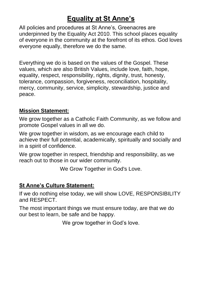## **Equality at St Anne's**

All policies and procedures at St Anne's, Greenacres are underpinned by the Equality Act 2010. This school places equality of everyone in the community at the forefront of its ethos. God loves everyone equally, therefore we do the same.

Everything we do is based on the values of the Gospel. These values, which are also British Values, include love, faith, hope, equality, respect, responsibility, rights, dignity, trust, honesty, tolerance, compassion, forgiveness, reconciliation, hospitality, mercy, community, service, simplicity, stewardship, justice and peace.

### **Mission Statement:**

We grow together as a Catholic Faith Community, as we follow and promote Gospel values in all we do.

We grow together in wisdom, as we encourage each child to achieve their full potential, academically, spiritually and socially and in a spirit of confidence.

We grow together in respect, friendship and responsibility, as we reach out to those in our wider community.

We Grow Together in God's Love.

### **St Anne's Culture Statement:**

If we do nothing else today, we will show LOVE, RESPONSIBILITY and RESPECT.

The most important things we must ensure today, are that we do our best to learn, be safe and be happy.

We grow together in God's love.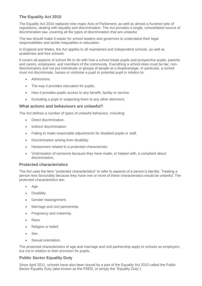#### **The Equality Act 2010**

The Equality Act 2010 replaced nine major Acts of Parliament, as well as almost a hundred sets of regulations, dealing with equality and discrimination. The Act provides a single, consolidated source of discrimination law, covering all the types of discrimination that are unlawful.

The law should make it easier for school leaders and governors to understand their legal responsibilities and tackle inequalities in education.

In England and Wales, the Act applies to all maintained and independent schools, as well as academies and free schools.

It covers all aspects of school life to do with how a school treats pupils and prospective pupils, parents and carers, employees, and members of the community. Everything a school does must be fair, nondiscriminatory and not put individuals or groups of people at a disadvantage. In particular, a school must not discriminate, harass or victimise a pupil or potential pupil in relation to:

- Admissions.
- The way it provides education for pupils.
- How it provides pupils access to any benefit, facility or service.
- Excluding a pupil or subjecting them to any other detriment.

#### **What actions and behaviours are unlawful?**

The Act defines a number of types of unlawful behaviour, including:

- Direct discrimination.
- Indirect discrimination.
- Failing to make reasonable adjustments for disabled pupils or staff.
- Discrimination arising from disability.
- Harassment related to a protected characteristic.
- Victimisation of someone because they have made, or helped with, a complaint about discrimination.

#### **Protected characteristics**

The Act uses the term "protected characteristics" to refer to aspects of a person's identity. Treating a person less favourably because they have one or more of these characteristics would be unlawful. The protected characteristics are:

- Age.
- Disability.
- Gender reassignment.
- Marriage and civil partnership.
- Pregnancy and maternity.
- Race.
- Religion or belief.
- Sex.
- Sexual orientation.

The protected characteristics of age and marriage and civil partnership apply to schools as employers, but not in relation to their provision for pupils.

#### **Public Sector Equality Duty**

Since April 2011, schools have also been bound by a part of the Equality Act 2010 called the Public Sector Equality Duty (also known as the PSED, or simply the "Equality Duty").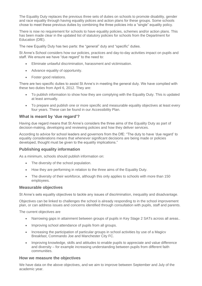The Equality Duty replaces the previous three sets of duties on schools to promote disability, gender and race equality through having equality polices and action plans for these groups. Some schools chose to meet these previous duties by combining the three policies into a "single" equality policy.

There is now no requirement for schools to have equality policies, schemes and/or action plans. This has been made clear in the updated list of statutory policies for schools from the Department for Education (DfE).

The new Equality Duty has two parts: the "general" duty and "specific" duties.

St Anne's School considers how our policies, practices and day-to-day activities impact on pupils and staff. We ensure we have "due regard" to the need to:

- Eliminate unlawful discrimination, harassment and victimisation.
- Advance equality of opportunity.
- Foster good relations.

There are two specific duties to assist St Anne's in meeting the general duty. We have complied with these two duties from April 6, 2012. They are:

- To publish information to show how they are complying with the Equality Duty. This is updated at least annually.
- To prepare and publish one or more specific and measurable equality objectives at least every four years. These can be found in our Accessibility Plan.

#### **What is meant by 'due regard'?**

Having due regard means that St Anne's considers the three aims of the Equality Duty as part of decision-making, developing and reviewing policies and how they deliver services.

According to advice for school leaders and governors from the DfE: "The duty to have 'due regard' to equality considerations means that whenever significant decisions are being made or policies developed, thought must be given to the equality implications."

#### **Publishing equality information**

As a minimum, schools should publish information on:

- The diversity of the school population.
- How they are performing in relation to the three aims of the Equality Duty.
- The diversity of their workforce, although this only applies to schools with more than 150 employees.

#### **Measurable objectives**

St Anne's sets equality objectives to tackle any issues of discrimination, inequality and disadvantage.

Objectives can be linked to challenges the school is already responding to in the school improvement plan, or can address issues and concerns identified through consultation with pupils, staff and parents.

The current objectives are

- Narrowing gaps in attainment between groups of pupils in Key Stage 2 SATs across all areas..
- Improving school attendance of pupils from all groups.
- Increasing the participation of particular groups in school activities by use of a Magicv Breakfast, Commando Joe and Manchester City FC.
- Improving knowledge, skills and attitudes to enable pupils to appreciate and value difference and diversity – for example increasing understanding between pupils from different faith communities.

#### **How we measure the objectives**

We have data on the above objectives, and we aim to improve between September and July of the academic year.